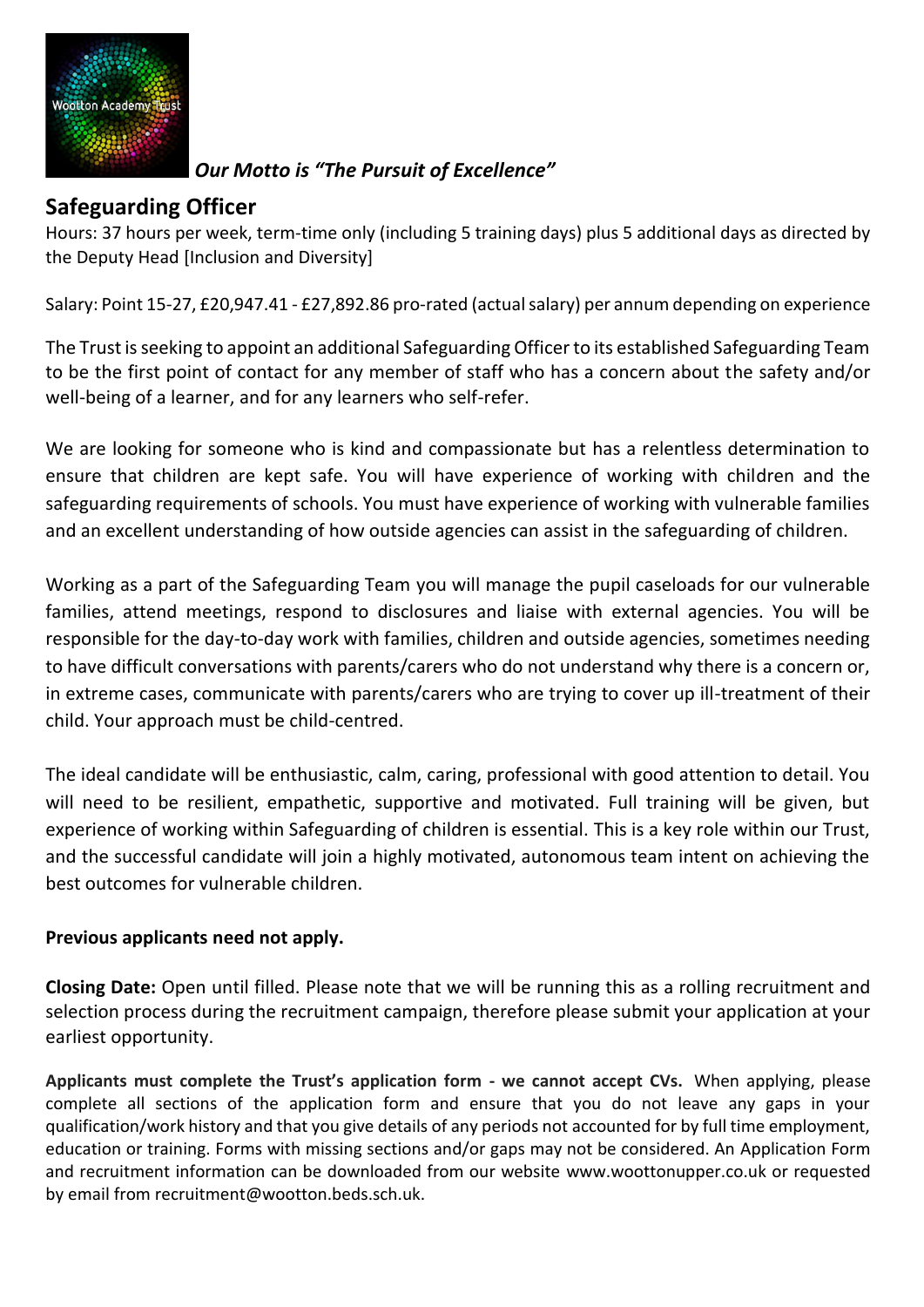

*Our Motto is "The Pursuit of Excellence"*

## **Safeguarding Officer**

Hours: 37 hours per week, term-time only (including 5 training days) plus 5 additional days as directed by the Deputy Head [Inclusion and Diversity]

Salary: Point 15-27, £20,947.41 - £27,892.86 pro-rated (actual salary) per annum depending on experience

The Trust is seeking to appoint an additional Safeguarding Officer to its established Safeguarding Team to be the first point of contact for any member of staff who has a concern about the safety and/or well-being of a learner, and for any learners who self-refer.

We are looking for someone who is kind and compassionate but has a relentless determination to ensure that children are kept safe. You will have experience of working with children and the safeguarding requirements of schools. You must have experience of working with vulnerable families and an excellent understanding of how outside agencies can assist in the safeguarding of children.

Working as a part of the Safeguarding Team you will manage the pupil caseloads for our vulnerable families, attend meetings, respond to disclosures and liaise with external agencies. You will be responsible for the day-to-day work with families, children and outside agencies, sometimes needing to have difficult conversations with parents/carers who do not understand why there is a concern or, in extreme cases, communicate with parents/carers who are trying to cover up ill-treatment of their child. Your approach must be child-centred.

The ideal candidate will be enthusiastic, calm, caring, professional with good attention to detail. You will need to be resilient, empathetic, supportive and motivated. Full training will be given, but experience of working within Safeguarding of children is essential. This is a key role within our Trust, and the successful candidate will join a highly motivated, autonomous team intent on achieving the best outcomes for vulnerable children.

## **Previous applicants need not apply.**

**Closing Date:** Open until filled. Please note that we will be running this as a rolling recruitment and selection process during the recruitment campaign, therefore please submit your application at your earliest opportunity.

**Applicants must complete the Trust's application form - we cannot accept CVs.** When applying, please complete all sections of the application form and ensure that you do not leave any gaps in your qualification/work history and that you give details of any periods not accounted for by full time employment, education or training. Forms with missing sections and/or gaps may not be considered. An Application Form and recruitment information can be downloaded from our website [www.woottonupper.co.uk](http://www.woottonupper.co.uk/) or requested by email from recruitment@wootton.beds.sch.uk.